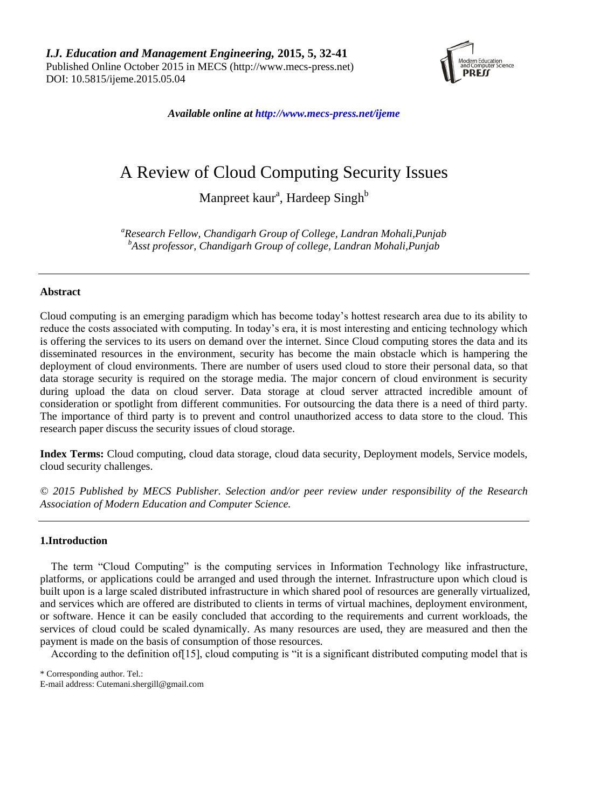

*Available online a[t http://www.mecs-press.net/ijeme](http://www.mecs-press.net/ijeme)*

# A Review of Cloud Computing Security Issues

Manpreet kaur<sup>a</sup>, Hardeep Singh<sup>b</sup>

*<sup>a</sup>Research Fellow, Chandigarh Group of College, Landran Mohali,Punjab <sup>b</sup>Asst professor, Chandigarh Group of college, Landran Mohali,Punjab*

# **Abstract**

Cloud computing is an emerging paradigm which has become today's hottest research area due to its ability to reduce the costs associated with computing. In today's era, it is most interesting and enticing technology which is offering the services to its users on demand over the internet. Since Cloud computing stores the data and its disseminated resources in the environment, security has become the main obstacle which is hampering the deployment of cloud environments. There are number of users used cloud to store their personal data, so that data storage security is required on the storage media. The major concern of cloud environment is security during upload the data on cloud server. Data storage at cloud server attracted incredible amount of consideration or spotlight from different communities. For outsourcing the data there is a need of third party. The importance of third party is to prevent and control unauthorized access to data store to the cloud. This research paper discuss the security issues of cloud storage.

**Index Terms:** Cloud computing, cloud data storage, cloud data security, Deployment models, Service models, cloud security challenges.

*© 2015 Published by MECS Publisher. Selection and/or peer review under responsibility of the Research Association of Modern Education and Computer Science.*

## **1.Introduction**

The term "Cloud Computing" is the computing services in Information Technology like infrastructure, platforms, or applications could be arranged and used through the internet. Infrastructure upon which cloud is built upon is a large scaled distributed infrastructure in which shared pool of resources are generally virtualized, and services which are offered are distributed to clients in terms of virtual machines, deployment environment, or software. Hence it can be easily concluded that according to the requirements and current workloads, the services of cloud could be scaled dynamically. As many resources are used, they are measured and then the payment is made on the basis of consumption of those resources.

According to the definition of[15], cloud computing is "it is a significant distributed computing model that is

\* Corresponding author. Tel.:

E-mail address: Cutemani.shergill@gmail.com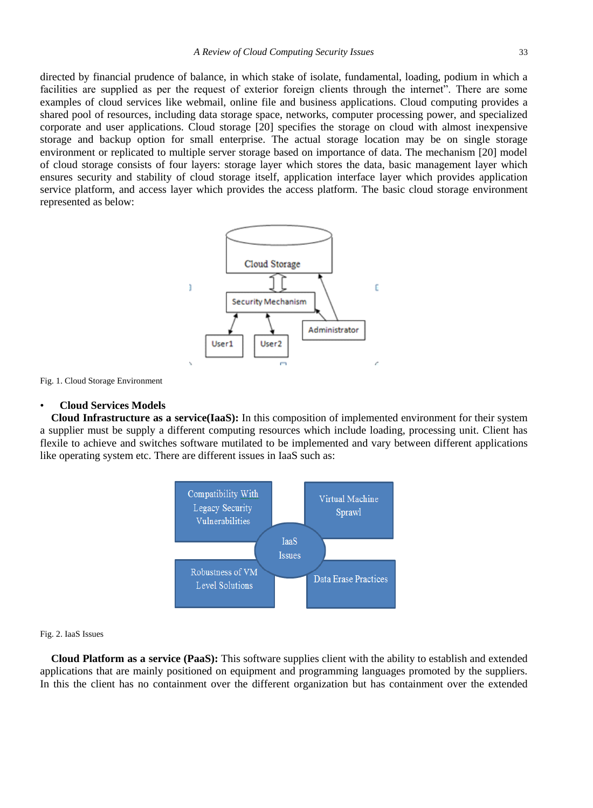directed by financial prudence of balance, in which stake of isolate, fundamental, loading, podium in which a facilities are supplied as per the request of exterior foreign clients through the internet". There are some examples of cloud services like webmail, online file and business applications. Cloud computing provides a shared pool of resources, including data storage space, networks, computer processing power, and specialized corporate and user applications. Cloud storage [20] specifies the storage on cloud with almost inexpensive storage and backup option for small enterprise. The actual storage location may be on single storage environment or replicated to multiple server storage based on importance of data. The mechanism [20] model of cloud storage consists of four layers: storage layer which stores the data, basic management layer which ensures security and stability of cloud storage itself, application interface layer which provides application service platform, and access layer which provides the access platform. The basic cloud storage environment represented as below:



Fig. 1. Cloud Storage Environment

#### • **Cloud Services Models**

**Cloud Infrastructure as a service(IaaS):** In this composition of implemented environment for their system a supplier must be supply a different computing resources which include loading, processing unit. Client has flexile to achieve and switches software mutilated to be implemented and vary between different applications like operating system etc. There are different issues in IaaS such as:



#### Fig. 2. IaaS Issues

**Cloud Platform as a service (PaaS):** This software supplies client with the ability to establish and extended applications that are mainly positioned on equipment and programming languages promoted by the suppliers. In this the client has no containment over the different organization but has containment over the extended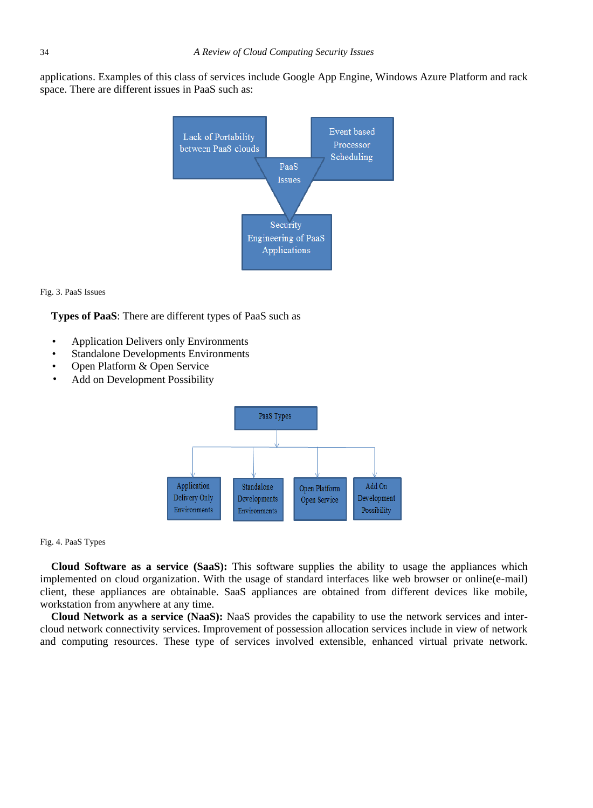applications. Examples of this class of services include Google App Engine, Windows Azure Platform and rack space. There are different issues in PaaS such as:



Fig. 3. PaaS Issues

**Types of PaaS**: There are different types of PaaS such as

- Application Delivers only Environments
- Standalone Developments Environments
- Open Platform & Open Service
- Add on Development Possibility



### Fig. 4. PaaS Types

**Cloud Software as a service (SaaS):** This software supplies the ability to usage the appliances which implemented on cloud organization. With the usage of standard interfaces like web browser or online(e-mail) client, these appliances are obtainable. SaaS appliances are obtained from different devices like mobile, workstation from anywhere at any time.

**Cloud Network as a service (NaaS):** NaaS provides the capability to use the network services and intercloud network connectivity services. Improvement of possession allocation services include in view of network and computing resources. These type of services involved extensible, enhanced virtual private network.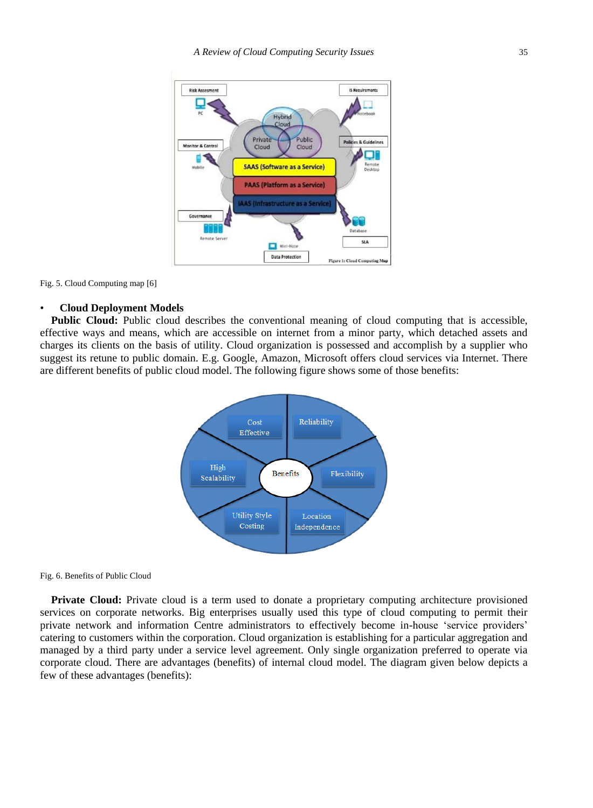

Fig. 5. Cloud Computing map [6]

#### • **Cloud Deployment Models**

**Public Cloud:** Public cloud describes the conventional meaning of cloud computing that is accessible, effective ways and means, which are accessible on internet from a minor party, which detached assets and charges its clients on the basis of utility. Cloud organization is possessed and accomplish by a supplier who suggest its retune to public domain. E.g. Google, Amazon, Microsoft offers cloud services via Internet. There are different benefits of public cloud model. The following figure shows some of those benefits:



Fig. 6. Benefits of Public Cloud

**Private Cloud:** Private cloud is a term used to donate a proprietary computing architecture provisioned services on corporate networks. Big enterprises usually used this type of cloud computing to permit their private network and information Centre administrators to effectively become in-house 'service providers' catering to customers within the corporation. Cloud organization is establishing for a particular aggregation and managed by a third party under a service level agreement. Only single organization preferred to operate via corporate cloud. There are advantages (benefits) of internal cloud model. The diagram given below depicts a few of these advantages (benefits):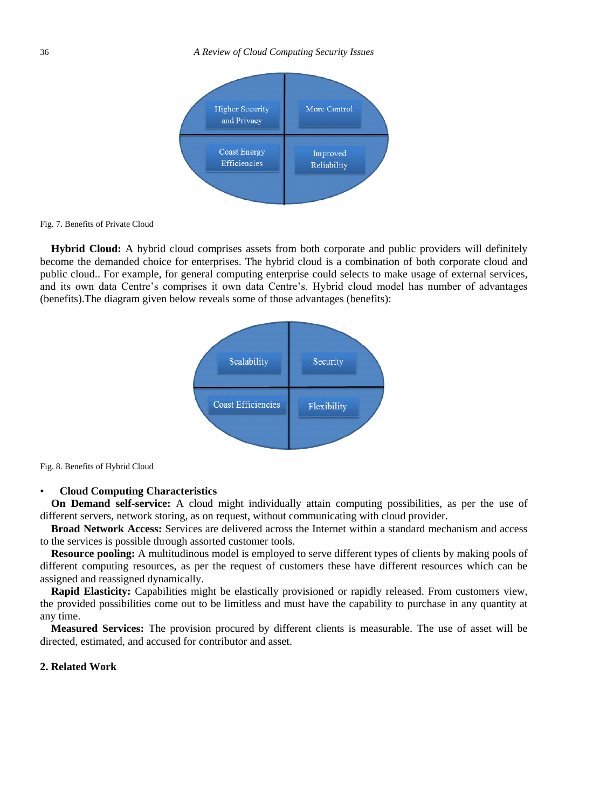

#### Fig. 7. Benefits of Private Cloud

**Hybrid Cloud:** A hybrid cloud comprises assets from both corporate and public providers will definitely become the demanded choice for enterprises. The hybrid cloud is a combination of both corporate cloud and public cloud.. For example, for general computing enterprise could selects to make usage of external services, and its own data Centre's comprises it own data Centre's. Hybrid cloud model has number of advantages (benefits).The diagram given below reveals some of those advantages (benefits):



Fig. 8. Benefits of Hybrid Cloud

### • **Cloud Computing Characteristics**

**On Demand self-service:** A cloud might individually attain computing possibilities, as per the use of different servers, network storing, as on request, without communicating with cloud provider.

**Broad Network Access:** Services are delivered across the Internet within a standard mechanism and access to the services is possible through assorted customer tools.

**Resource pooling:** A multitudinous model is employed to serve different types of clients by making pools of different computing resources, as per the request of customers these have different resources which can be assigned and reassigned dynamically.

**Rapid Elasticity:** Capabilities might be elastically provisioned or rapidly released. From customers view, the provided possibilities come out to be limitless and must have the capability to purchase in any quantity at any time.

**Measured Services:** The provision procured by different clients is measurable. The use of asset will be directed, estimated, and accused for contributor and asset.

# **2. Related Work**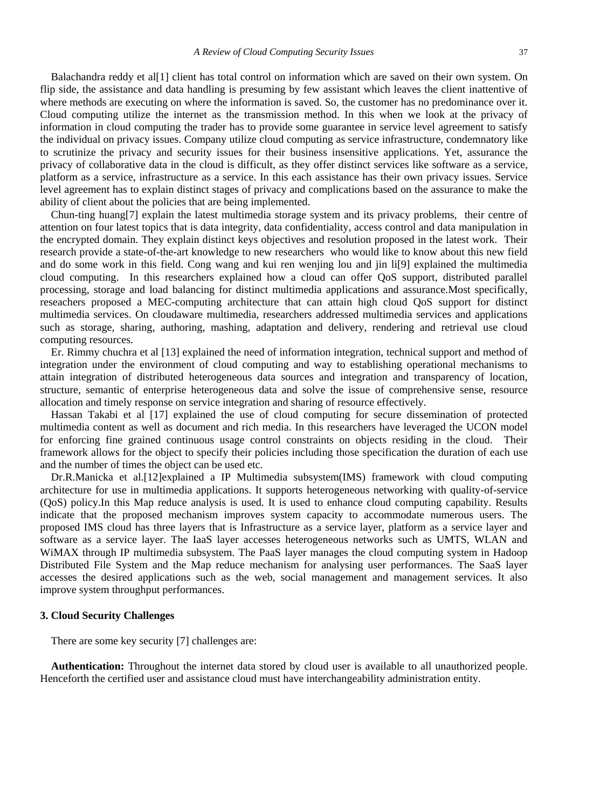Balachandra reddy et al[1] client has total control on information which are saved on their own system. On flip side, the assistance and data handling is presuming by few assistant which leaves the client inattentive of where methods are executing on where the information is saved. So, the customer has no predominance over it. Cloud computing utilize the internet as the transmission method. In this when we look at the privacy of information in cloud computing the trader has to provide some guarantee in service level agreement to satisfy the individual on privacy issues. Company utilize cloud computing as service infrastructure, condemnatory like to scrutinize the privacy and security issues for their business insensitive applications. Yet, assurance the privacy of collaborative data in the cloud is difficult, as they offer distinct services like software as a service, platform as a service, infrastructure as a service. In this each assistance has their own privacy issues. Service level agreement has to explain distinct stages of privacy and complications based on the assurance to make the ability of client about the policies that are being implemented.

Chun-ting huang[7] explain the latest multimedia storage system and its privacy problems, their centre of attention on four latest topics that is data integrity, data confidentiality, access control and data manipulation in the encrypted domain. They explain distinct keys objectives and resolution proposed in the latest work. Their research provide a state-of-the-art knowledge to new researchers who would like to know about this new field and do some work in this field. Cong wang and kui ren wenjing lou and jin li[9] explained the multimedia cloud computing. In this researchers explained how a cloud can offer QoS support, distributed parallel processing, storage and load balancing for distinct multimedia applications and assurance.Most specifically, reseachers proposed a MEC-computing architecture that can attain high cloud QoS support for distinct multimedia services. On cloudaware multimedia, researchers addressed multimedia services and applications such as storage, sharing, authoring, mashing, adaptation and delivery, rendering and retrieval use cloud computing resources.

Er. Rimmy chuchra et al [13] explained the need of information integration, technical support and method of integration under the environment of cloud computing and way to establishing operational mechanisms to attain integration of distributed heterogeneous data sources and integration and transparency of location, structure, semantic of enterprise heterogeneous data and solve the issue of comprehensive sense, resource allocation and timely response on service integration and sharing of resource effectively.

Hassan Takabi et al [17] explained the use of cloud computing for secure dissemination of protected multimedia content as well as document and rich media. In this researchers have leveraged the UCON model for enforcing fine grained continuous usage control constraints on objects residing in the cloud. Their framework allows for the object to specify their policies including those specification the duration of each use and the number of times the object can be used etc.

Dr.R.Manicka et al.[12]explained a IP Multimedia subsystem(IMS) framework with cloud computing architecture for use in multimedia applications. It supports heterogeneous networking with quality-of-service (QoS) policy.In this Map reduce analysis is used. It is used to enhance cloud computing capability. Results indicate that the proposed mechanism improves system capacity to accommodate numerous users. The proposed IMS cloud has three layers that is Infrastructure as a service layer, platform as a service layer and software as a service layer. The IaaS layer accesses heterogeneous networks such as UMTS, WLAN and WiMAX through IP multimedia subsystem. The PaaS layer manages the cloud computing system in Hadoop Distributed File System and the Map reduce mechanism for analysing user performances. The SaaS layer accesses the desired applications such as the web, social management and management services. It also improve system throughput performances.

## **3. Cloud Security Challenges**

There are some key security [7] challenges are:

**Authentication:** Throughout the internet data stored by cloud user is available to all unauthorized people. Henceforth the certified user and assistance cloud must have interchangeability administration entity.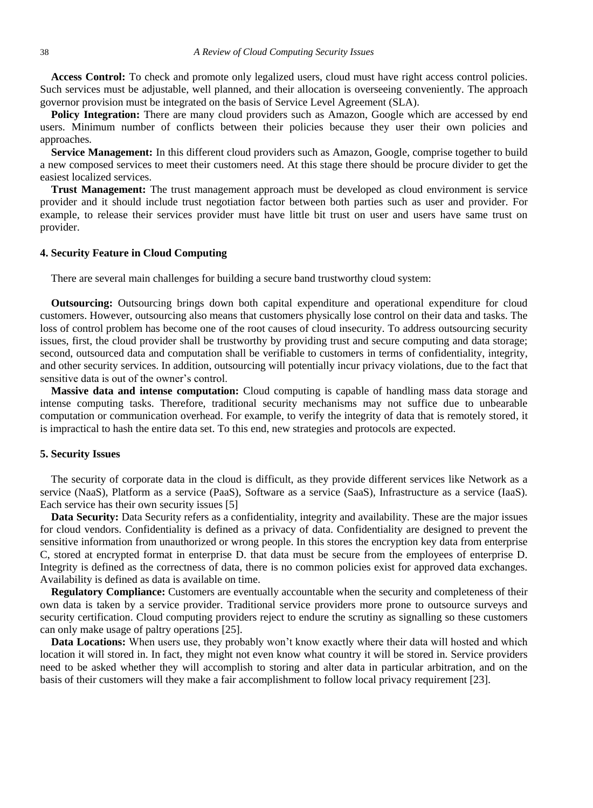**Access Control:** To check and promote only legalized users, cloud must have right access control policies. Such services must be adjustable, well planned, and their allocation is overseeing conveniently. The approach governor provision must be integrated on the basis of Service Level Agreement (SLA).

**Policy Integration:** There are many cloud providers such as Amazon, Google which are accessed by end users. Minimum number of conflicts between their policies because they user their own policies and approaches.

**Service Management:** In this different cloud providers such as Amazon, Google, comprise together to build a new composed services to meet their customers need. At this stage there should be procure divider to get the easiest localized services.

**Trust Management:** The trust management approach must be developed as cloud environment is service provider and it should include trust negotiation factor between both parties such as user and provider. For example, to release their services provider must have little bit trust on user and users have same trust on provider.

## **4. Security Feature in Cloud Computing**

There are several main challenges for building a secure band trustworthy cloud system:

**Outsourcing:** Outsourcing brings down both capital expenditure and operational expenditure for cloud customers. However, outsourcing also means that customers physically lose control on their data and tasks. The loss of control problem has become one of the root causes of cloud insecurity. To address outsourcing security issues, first, the cloud provider shall be trustworthy by providing trust and secure computing and data storage; second, outsourced data and computation shall be verifiable to customers in terms of confidentiality, integrity, and other security services. In addition, outsourcing will potentially incur privacy violations, due to the fact that sensitive data is out of the owner's control.

**Massive data and intense computation:** Cloud computing is capable of handling mass data storage and intense computing tasks. Therefore, traditional security mechanisms may not suffice due to unbearable computation or communication overhead. For example, to verify the integrity of data that is remotely stored, it is impractical to hash the entire data set. To this end, new strategies and protocols are expected.

### **5. Security Issues**

The security of corporate data in the cloud is difficult, as they provide different services like Network as a service (NaaS), Platform as a service (PaaS), Software as a service (SaaS), Infrastructure as a service (IaaS). Each service has their own security issues [5]

**Data Security:** Data Security refers as a confidentiality, integrity and availability. These are the major issues for cloud vendors. Confidentiality is defined as a privacy of data. Confidentiality are designed to prevent the sensitive information from unauthorized or wrong people. In this stores the encryption key data from enterprise C, stored at encrypted format in enterprise D. that data must be secure from the employees of enterprise D. Integrity is defined as the correctness of data, there is no common policies exist for approved data exchanges. Availability is defined as data is available on time.

**Regulatory Compliance:** Customers are eventually accountable when the security and completeness of their own data is taken by a service provider. Traditional service providers more prone to outsource surveys and security certification. Cloud computing providers reject to endure the scrutiny as signalling so these customers can only make usage of paltry operations [25].

**Data Locations:** When users use, they probably won't know exactly where their data will hosted and which location it will stored in. In fact, they might not even know what country it will be stored in. Service providers need to be asked whether they will accomplish to storing and alter data in particular arbitration, and on the basis of their customers will they make a fair accomplishment to follow local privacy requirement [23].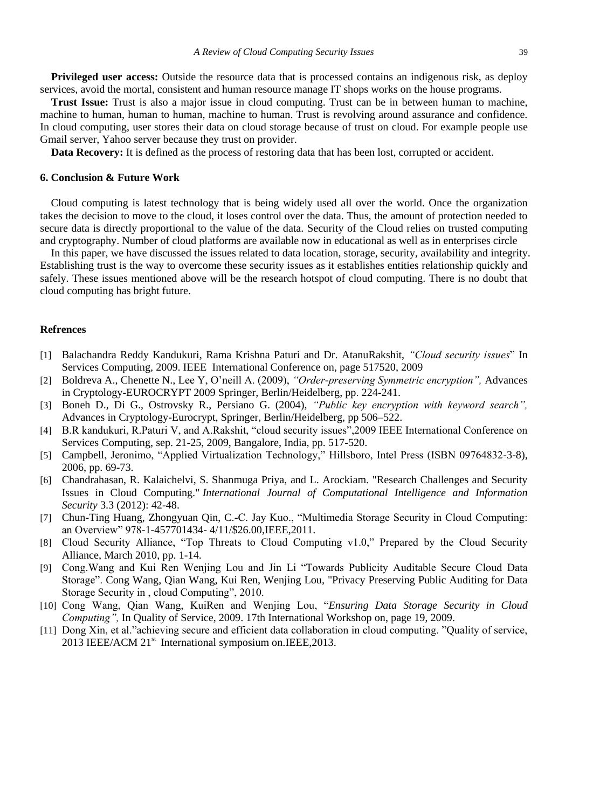**Privileged user access:** Outside the resource data that is processed contains an indigenous risk, as deploy services, avoid the mortal, consistent and human resource manage IT shops works on the house programs.

**Trust Issue:** Trust is also a major issue in cloud computing. Trust can be in between human to machine, machine to human, human to human, machine to human. Trust is revolving around assurance and confidence. In cloud computing, user stores their data on cloud storage because of trust on cloud. For example people use Gmail server, Yahoo server because they trust on provider.

**Data Recovery:** It is defined as the process of restoring data that has been lost, corrupted or accident.

#### **6. Conclusion & Future Work**

Cloud computing is latest technology that is being widely used all over the world. Once the organization takes the decision to move to the cloud, it loses control over the data. Thus, the amount of protection needed to secure data is directly proportional to the value of the data. Security of the Cloud relies on trusted computing and cryptography. Number of cloud platforms are available now in educational as well as in enterprises circle

In this paper, we have discussed the issues related to data location, storage, security, availability and integrity. Establishing trust is the way to overcome these security issues as it establishes entities relationship quickly and safely. These issues mentioned above will be the research hotspot of cloud computing. There is no doubt that cloud computing has bright future.

# **Refrences**

- [1] Balachandra Reddy Kandukuri, Rama Krishna Paturi and Dr. AtanuRakshit, *"Cloud security issues*" In Services Computing, 2009. IEEE International Conference on, page 517520, 2009
- [2] Boldreva A., Chenette N., Lee Y, O'neill A. (2009), *"Order-preserving Symmetric encryption",* Advances in Cryptology-EUROCRYPT 2009 Springer, Berlin/Heidelberg, pp. 224-241.
- [3] Boneh D., Di G., Ostrovsky R., Persiano G. (2004), *"Public key encryption with keyword search",* Advances in Cryptology-Eurocrypt, Springer, Berlin/Heidelberg, pp 506–522.
- [4] B.R kandukuri, R.Paturi V, and A.Rakshit, "cloud security issues",2009 IEEE International Conference on Services Computing, sep. 21-25, 2009, Bangalore, India, pp. 517-520.
- [5] Campbell, Jeronimo, "Applied Virtualization Technology," Hillsboro, Intel Press (ISBN 09764832-3-8), 2006, pp. 69-73.
- [6] Chandrahasan, R. Kalaichelvi, S. Shanmuga Priya, and L. Arockiam. "Research Challenges and Security Issues in Cloud Computing." *International Journal of Computational Intelligence and Information Security* 3.3 (2012): 42-48.
- [7] Chun-Ting Huang, Zhongyuan Qin, C.-C. Jay Kuo., "Multimedia Storage Security in Cloud Computing: an Overview" 978-1-457701434- 4/11/\$26.00,IEEE,2011.
- [8] Cloud Security Alliance, "Top Threats to Cloud Computing v1.0," Prepared by the Cloud Security Alliance, March 2010, pp. 1-14.
- [9] Cong.Wang and Kui Ren Wenjing Lou and Jin Li "Towards Publicity Auditable Secure Cloud Data Storage". Cong Wang, Qian Wang, Kui Ren, Wenjing Lou, "Privacy Preserving Public Auditing for Data Storage Security in , cloud Computing", 2010.
- [10] Cong Wang, Qian Wang, KuiRen and Wenjing Lou, "*Ensuring Data Storage Security in Cloud Computing",* In Quality of Service, 2009. 17th International Workshop on, page 19, 2009.
- [11] Dong Xin, et al."achieving secure and efficient data collaboration in cloud computing. "Quality of service, 2013 IEEE/ACM 21<sup>st</sup> International symposium on.IEEE, 2013.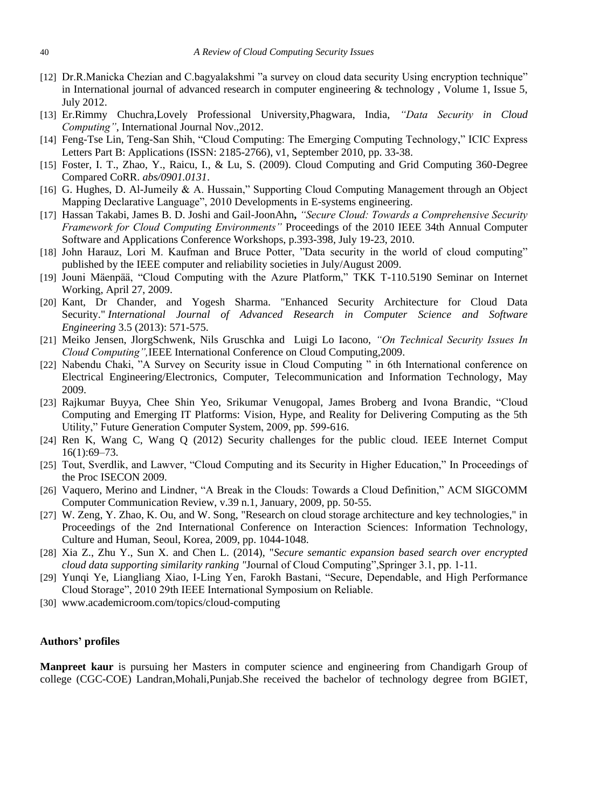- [12] Dr.R.Manicka Chezian and C.bagyalakshmi "a survey on cloud data security Using encryption technique" in International journal of advanced research in computer engineering  $&$  technology, Volume 1, Issue 5, July 2012.
- [13] Er.Rimmy Chuchra,Lovely Professional University,Phagwara, India, *"Data Security in Cloud Computing"*, International Journal Nov.,2012.
- [14] Feng-Tse Lin, Teng-San Shih, "Cloud Computing: The Emerging Computing Technology," ICIC Express Letters Part B: Applications (ISSN: 2185-2766), v1, September 2010, pp. 33-38.
- [15] Foster, I. T., Zhao, Y., Raicu, I., & Lu, S. (2009). Cloud Computing and Grid Computing 360-Degree Compared CoRR. *abs/0901.0131*.
- [16] G. Hughes, D. Al-Jumeily & A. Hussain," Supporting Cloud Computing Management through an Object Mapping Declarative Language", 2010 Developments in E-systems engineering.
- [17] Hassan Takabi, James B. D. Joshi and Gail-JoonAhn**,** *"Secure Cloud: Towards a Comprehensive Security Framework for Cloud Computing Environments"* Proceedings of the 2010 IEEE 34th Annual Computer Software and Applications Conference Workshops, p.393-398, July 19-23, 2010.
- [18] John Harauz, Lori M. Kaufman and Bruce Potter, "Data security in the world of cloud computing" published by the IEEE computer and reliability societies in July/August 2009.
- [19] Jouni Mäenpää, "Cloud Computing with the Azure Platform," TKK T-110.5190 Seminar on Internet Working, April 27, 2009.
- [20] Kant, Dr Chander, and Yogesh Sharma. "Enhanced Security Architecture for Cloud Data Security." *International Journal of Advanced Research in Computer Science and Software Engineering* 3.5 (2013): 571-575.
- [21] Meiko Jensen, JlorgSchwenk, Nils Gruschka and Luigi Lo Iacono, *"On Technical Security Issues In Cloud Computing",*IEEE International Conference on Cloud Computing,2009.
- [22] Nabendu Chaki, "A Survey on Security issue in Cloud Computing " in 6th International conference on Electrical Engineering/Electronics, Computer, Telecommunication and Information Technology, May 2009.
- [23] Rajkumar Buyya, Chee Shin Yeo, Srikumar Venugopal, James Broberg and Ivona Brandic, "Cloud Computing and Emerging IT Platforms: Vision, Hype, and Reality for Delivering Computing as the 5th Utility," Future Generation Computer System, 2009, pp. 599-616.
- [24] Ren K, Wang C, Wang Q (2012) Security challenges for the public cloud. IEEE Internet Comput 16(1):69–73.
- [25] Tout, Sverdlik, and Lawver, "Cloud Computing and its Security in Higher Education," In Proceedings of the Proc ISECON 2009.
- [26] Vaquero, Merino and Lindner, "A Break in the Clouds: Towards a Cloud Definition," ACM SIGCOMM Computer Communication Review, v.39 n.1, January, 2009, pp. 50-55.
- [27] W. Zeng, Y. Zhao, K. Ou, and W. Song, "Research on cloud storage architecture and key technologies," in Proceedings of the 2nd International Conference on Interaction Sciences: Information Technology, Culture and Human, Seoul, Korea, 2009, pp. 1044-1048.
- [28] Xia Z., Zhu Y., Sun X. and Chen L. (2014), "*Secure semantic expansion based search over encrypted cloud data supporting similarity ranking "*Journal of Cloud Computing",Springer 3.1, pp. 1-11.
- [29] Yunqi Ye, Liangliang Xiao, I-Ling Yen, Farokh Bastani, "Secure, Dependable, and High Performance Cloud Storage", 2010 29th IEEE International Symposium on Reliable.
- [30] www.academicroom.com/topics/cloud-computing

# **Authors' profiles**

**Manpreet kaur** is pursuing her Masters in computer science and engineering from Chandigarh Group of college (CGC-COE) Landran,Mohali,Punjab.She received the bachelor of technology degree from BGIET,